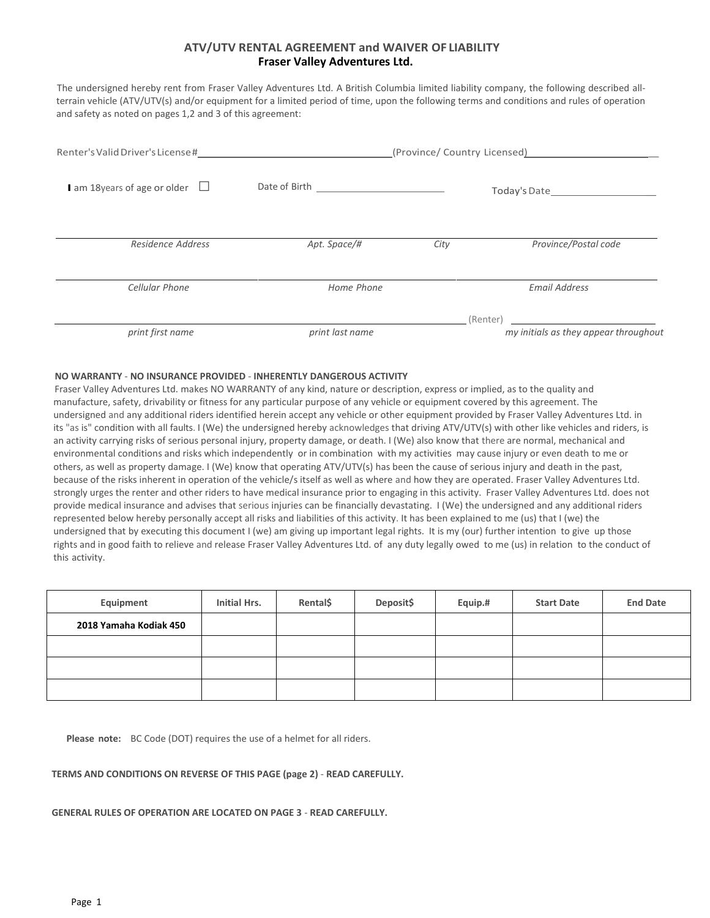# **ATV/UTV RENTAL AGREEMENT and WAIVER OF LIABILITY Fraser Valley Adventures Ltd.**

The undersigned hereby rent from Fraser Valley Adventures Ltd. A British Columbia limited liability company, the following described allterrain vehicle (ATV/UTV(s) and/or equipment for a limited period of time, upon the following terms and conditions and rules of operation and safety as noted on pages 1,2 and 3 of this agreement:

| Renter's Valid Driver's License#   | the contract of the contract of the contract of | (Province/ Country Licensed) |                                                   |  |
|------------------------------------|-------------------------------------------------|------------------------------|---------------------------------------------------|--|
| am 18 years of age or older $\Box$ | Date of Birth <u>contracts</u>                  |                              |                                                   |  |
| Residence Address                  | Apt. Space/#                                    | City                         | Province/Postal code                              |  |
| Cellular Phone                     | Home Phone                                      |                              | <b>Email Address</b>                              |  |
| print first name                   | print last name                                 |                              | (Renter)<br>my initials as they appear throughout |  |

## **NO WARRANTY** - **NO INSURANCE PROVIDED** - **INHERENTLY DANGEROUS ACTIVITY**

Fraser Valley Adventures Ltd. makes NO WARRANTY of any kind, nature or description, express or implied, as to the quality and manufacture, safety, drivability or fitness for any particular purpose of any vehicle or equipment covered by this agreement. The undersigned and any additional riders identified herein accept any vehicle or other equipment provided by Fraser Valley Adventures Ltd. in its "as is" condition with all faults. I (We) the undersigned hereby acknowledges that driving ATV/UTV(s) with other like vehicles and riders, is an activity carrying risks of serious personal injury, property damage, or death. I (We) also know that there are normal, mechanical and environmental conditions and risks which independently or in combination with my activities may cause injury or even death to me or others, as well as property damage. I (We) know that operating ATV/UTV(s) has been the cause of serious injury and death in the past, because of the risks inherent in operation of the vehicle/s itself as well as where and how they are operated. Fraser Valley Adventures Ltd. strongly urges the renter and other riders to have medical insurance prior to engaging in this activity. Fraser Valley Adventures Ltd. does not provide medical insurance and advises that serious injuries can be financially devastating. I (We) the undersigned and any additional riders represented below hereby personally accept all risks and liabilities of this activity. It has been explained to me (us) that I (we) the undersigned that by executing this document I (we) am giving up important legal rights. It is my (our) further intention to give up those rights and in good faith to relieve and release Fraser Valley Adventures Ltd. of any duty legally owed to me (us) in relation to the conduct of this activity.

| Equipment              | Initial Hrs. | Rental\$ | Deposit\$ | Equip.# | <b>Start Date</b> | <b>End Date</b> |
|------------------------|--------------|----------|-----------|---------|-------------------|-----------------|
| 2018 Yamaha Kodiak 450 |              |          |           |         |                   |                 |
|                        |              |          |           |         |                   |                 |
|                        |              |          |           |         |                   |                 |
|                        |              |          |           |         |                   |                 |

 **Please note:** BC Code (DOT) requires the use of a helmet for all riders.

## **TERMS AND CONDITIONS ON REVERSE OF THIS PAGE (page 2)** - **READ CAREFULLY.**

## **GENERAL RULES OF OPERATION ARE LOCATED ON PAGE 3** - **READ CAREFULLY.**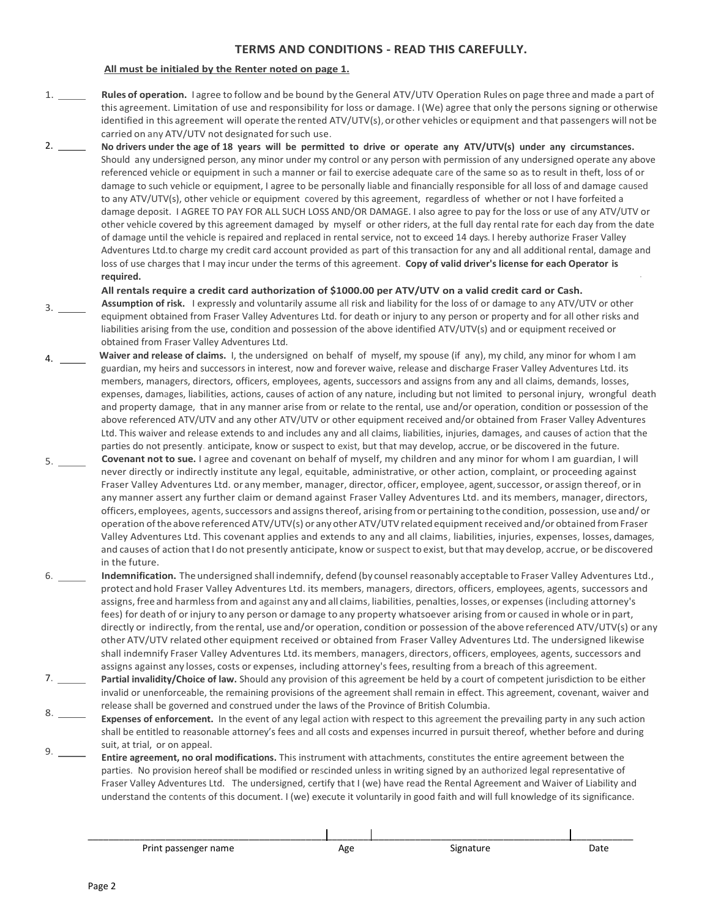# **TERMS AND CONDITIONS - READ THIS CAREFULLY.**

# **All must be initialed by the Renter noted on page 1.**

- 1. **Rules of operation.** I agree to follow and be bound by the General ATV/UTV Operation Rules on page three and made a part of this agreement. Limitation of use and responsibility for loss or damage. I(We) agree that only the persons signing or otherwise identified in this agreement will operate the rented ATV/UTV(s), or other vehicles or equipment and that passengers will not be carried on any ATV/UTV not designated forsuch use.
- 2. **No drivers under the age of 18 years will be permitted to drive or operate any ATV/UTV(s) under any circumstances.** Should any undersigned person, any minor under my control or any person with permission of any undersigned operate any above referenced vehicle or equipment in such a manner or fail to exercise adequate care of the same so as to result in theft, loss of or damage to such vehicle or equipment, I agree to be personally liable and financially responsible for all loss of and damage caused to any ATV/UTV(s), other vehicle or equipment covered by this agreement, regardless of whether or not I have forfeited a damage deposit. I AGREE TO PAY FOR ALL SUCH LOSS AND/OR DAMAGE. I also agree to pay for the loss or use of any ATV/UTV or other vehicle covered by this agreement damaged by myself or other riders, at the full day rental rate for each day from the date of damage until the vehicle is repaired and replaced in rental service, not to exceed 14 days. I hereby authorize Fraser Valley Adventures Ltd.to charge my credit card account provided as part of this transaction for any and all additional rental, damage and loss of use charges that I may incur under the terms of this agreement. **Copy of valid driver's license for each Operator is required.** ·

**All rentals require a credit card authorization of \$1000.00 per ATV/UTV on a valid credit card or Cash.**

- 3. **Assumption of risk.** I expressly and voluntarily assume all risk and liability for the loss of or damage to any ATV/UTV or other equipment obtained from Fraser Valley Adventures Ltd. for death or injury to any person or property and for all other risks and liabilities arising from the use, condition and possession of the above identified ATV/UTV(s) and or equipment received or obtained from Fraser Valley Adventures Ltd.
- 4. **Waiver and release of claims.** I, the undersigned on behalf of myself, my spouse (if any), my child, any minor for whom I am guardian, my heirs and successors in interest, now and forever waive, release and discharge Fraser Valley Adventures Ltd. its members, managers, directors, officers, employees, agents, successors and assigns from any and all claims, demands, losses, expenses, damages, liabilities, actions, causes of action of any nature, including but not limited to personal injury, wrongful death and property damage, that in any manner arise from or relate to the rental, use and/or operation, condition or possession of the above referenced ATV/UTV and any other ATV/UTV or other equipment received and/or obtained from Fraser Valley Adventures Ltd. This waiver and release extends to and includes any and all claims, liabilities, injuries, damages, and causes of action that the parties do not presently. anticipate, know or suspect to exist, but that may develop, accrue, or be discovered in the future.
- 5. **Covenant not to sue.** I agree and covenant on behalf of myself, my children and any minor for whom I am guardian, I will never directly or indirectly institute any legal, equitable, administrative, or other action, complaint, or proceeding against Fraser Valley Adventures Ltd. or any member, manager, director, officer, employee, agent,successor, orassign thereof, orin any manner assert any further claim or demand against Fraser Valley Adventures Ltd. and its members, manager, directors, officers, employees, agents, successors and assigns thereof, arising from or pertaining to the condition, possession, use and/ or operation of the above referenced ATV/UTV(s) or any other ATV/UTV related equipment received and/or obtained from Fraser Valley Adventures Ltd. This covenant applies and extends to any and all claims, liabilities, injuries, expenses, losses, damages, and causes of action that I do not presently anticipate, know or suspect to exist, but that may develop, accrue, or be discovered in the future.
- 6. **Indemnification.** The undersigned shall indemnify, defend (by counsel reasonably acceptable to Fraser Valley Adventures Ltd., protect and hold Fraser Valley Adventures Ltd. its members, managers, directors, officers, employees, agents, successors and assigns, free and harmlessfrom and against any and all claims, liabilities, penalties, losses,or expenses(including attorney's fees) for death of or injury to any person or damage to any property whatsoever arising fromor caused in whole orin part, directly or indirectly, from the rental, use and/or operation, condition or possession of the above referenced ATV/UTV(s) or any other ATV/UTV related other equipment received or obtained from Fraser Valley Adventures Ltd. The undersigned likewise shall indemnify Fraser Valley Adventures Ltd. its members, managers, directors, officers, employees, agents, successors and assigns against any losses, costs or expenses, including attorney'sfees,resulting from a breach of this agreement.
- 7. **Partial invalidity/Choice of law.** Should any provision of this agreement be held by a court of competent jurisdiction to be either invalid or unenforceable, the remaining provisions of the agreement shall remain in effect. This agreement, covenant, waiver and release shall be governed and construed under the laws of the Province of British Columbia.
- $8.$   $-$ 9. **Expenses of enforcement.** In the event of any legal action with respect to this agreement the prevailing party in any such action shall be entitled to reasonable attorney's fees and all costs and expenses incurred in pursuit thereof, whether before and during suit, at trial, or on appeal.
- **Entire agreement, no oral modifications.** This instrument with attachments, constitutes the entire agreement between the parties. No provision hereof shall be modified or rescinded unless in writing signed by an authorized legal representative of Fraser Valley Adventures Ltd. The undersigned, certify that I (we) have read the Rental Agreement and Waiver of Liability and understand the contents of this document. I (we) execute it voluntarily in good faith and will full knowledge of its significance.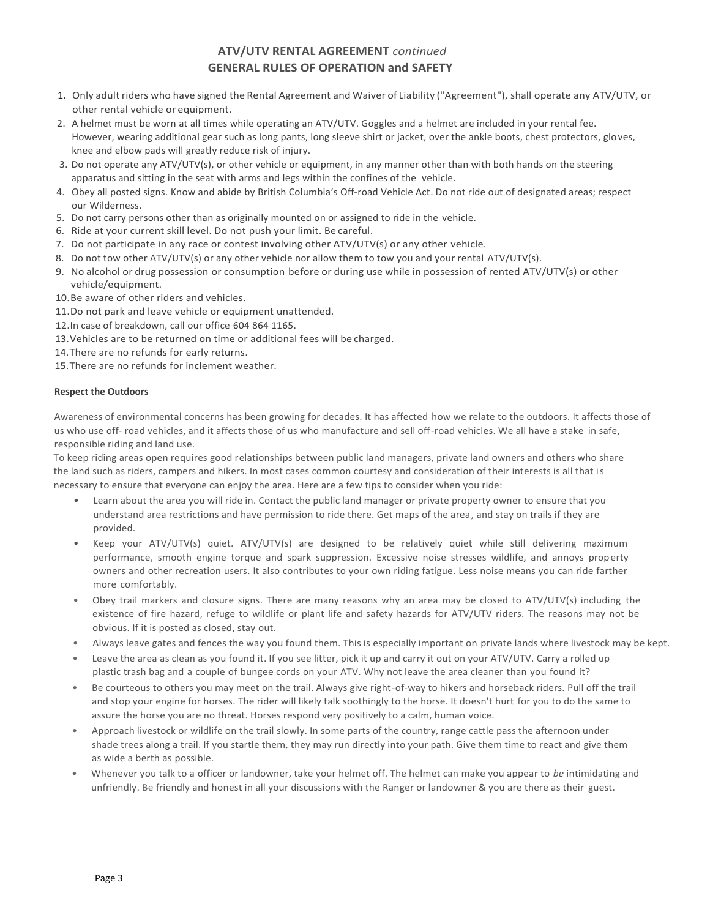# **ATV/UTV RENTAL AGREEMENT** *continued* **GENERAL RULES OF OPERATION and SAFETY**

- 1. Only adult riders who have signed the Rental Agreement and Waiver of Liability ("Agreement"), shall operate any ATV/UTV, or other rental vehicle or equipment.
- 2. A helmet must be worn at all times while operating an ATV/UTV. Goggles and a helmet are included in your rental fee. However, wearing additional gear such as long pants, long sleeve shirt or jacket, over the ankle boots, chest protectors, gloves, knee and elbow pads will greatly reduce risk of injury.
- 3. Do not operate any ATV/UTV(s), or other vehicle or equipment, in any manner other than with both hands on the steering apparatus and sitting in the seat with arms and legs within the confines of the vehicle.
- 4. Obey all posted signs. Know and abide by British Columbia's Off-road Vehicle Act. Do not ride out of designated areas; respect our Wilderness.
- 5. Do not carry persons other than as originally mounted on or assigned to ride in the vehicle.
- 6. Ride at your current skill level. Do not push your limit. Be careful.
- 7. Do not participate in any race or contest involving other ATV/UTV(s) or any other vehicle.
- 8. Do not tow other ATV/UTV(s) or any other vehicle nor allow them to tow you and your rental ATV/UTV(s).
- 9. No alcohol or drug possession or consumption before or during use while in possession of rented ATV/UTV(s) or other vehicle/equipment.
- 10.Be aware of other riders and vehicles.
- 11.Do not park and leave vehicle or equipment unattended.
- 12.In case of breakdown, call our office 604 864 1165.
- 13.Vehicles are to be returned on time or additional fees will be charged.
- 14.There are no refunds for early returns.
- 15.There are no refunds for inclement weather.

## **Respect the Outdoors**

Awareness of environmental concerns has been growing for decades. It has affected how we relate to the outdoors. It affects those of us who use off- road vehicles, and it affects those of us who manufacture and sell off-road vehicles. We all have a stake in safe, responsible riding and land use.

To keep riding areas open requires good relationships between public land managers, private land owners and others who share the land such as riders, campers and hikers. In most cases common courtesy and consideration of their interests is all that is necessary to ensure that everyone can enjoy the area. Here are a few tips to consider when you ride:

- Learn about the area you will ride in. Contact the public land manager or private property owner to ensure that you understand area restrictions and have permission to ride there. Get maps of the area, and stay on trails if they are provided.
- Keep your ATV/UTV(s) quiet. ATV/UTV(s) are designed to be relatively quiet while still delivering maximum performance, smooth engine torque and spark suppression. Excessive noise stresses wildlife, and annoys property owners and other recreation users. It also contributes to your own riding fatigue. Less noise means you can ride farther more comfortably.
- Obey trail markers and closure signs. There are many reasons why an area may be closed to ATV/UTV(s) including the existence of fire hazard, refuge to wildlife or plant life and safety hazards for ATV/UTV riders. The reasons may not be obvious. If it is posted as closed, stay out.
- Always leave gates and fences the way you found them. This is especially important on private lands where livestock may be kept.
- Leave the area as clean as you found it. If you see litter, pick it up and carry it out on your ATV/UTV. Carry a rolled up plastic trash bag and a couple of bungee cords on your ATV. Why not leave the area cleaner than you found it?
- Be courteous to others you may meet on the trail. Always give right-of-way to hikers and horseback riders. Pull off the trail and stop your engine for horses. The rider will likely talk soothingly to the horse. It doesn't hurt for you to do the same to assure the horse you are no threat. Horses respond very positively to a calm, human voice.
- Approach livestock or wildlife on the trail slowly. In some parts of the country, range cattle pass the afternoon under shade trees along a trail. If you startle them, they may run directly into your path. Give them time to react and give them as wide a berth as possible.
- Whenever you talk to a officer or landowner, take your helmet off. The helmet can make you appear to *be* intimidating and unfriendly. Be friendly and honest in all your discussions with the Ranger or landowner & you are there as their guest.